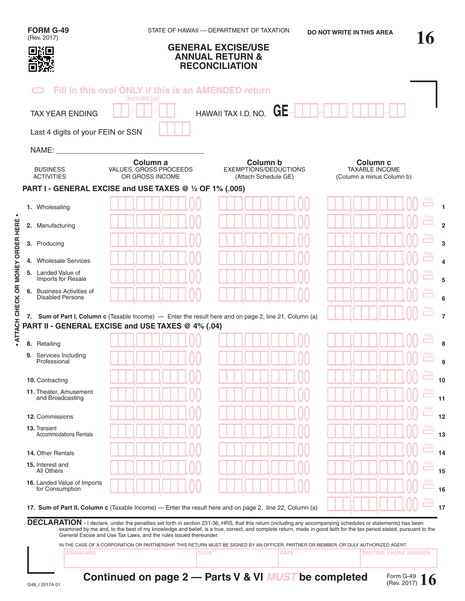| <b>FORM G-49</b><br>(Rev. 2017)                      |                                                                   | STATE OF HAWAII - DEPARTMENT OF TAXATION                                                                                                                                                                                                                                                                                            | <b>DO NOT WRITE IN THIS AREA</b>                                          |  |
|------------------------------------------------------|-------------------------------------------------------------------|-------------------------------------------------------------------------------------------------------------------------------------------------------------------------------------------------------------------------------------------------------------------------------------------------------------------------------------|---------------------------------------------------------------------------|--|
| oxo                                                  |                                                                   | <b>GENERAL EXCISE/USE</b><br><b>ANNUAL RETURN &amp;</b><br><b>RECONCILIATION</b>                                                                                                                                                                                                                                                    |                                                                           |  |
|                                                      | Fill in this oval ONLY if this is an AMENDED return<br>(mm/dd/yy) |                                                                                                                                                                                                                                                                                                                                     |                                                                           |  |
| <b>TAX YEAR ENDING</b>                               |                                                                   | HAWAII TAX I.D. NO. $GE-$                                                                                                                                                                                                                                                                                                           |                                                                           |  |
| Last 4 digits of your FEIN or SSN                    |                                                                   |                                                                                                                                                                                                                                                                                                                                     |                                                                           |  |
| NAME:                                                |                                                                   |                                                                                                                                                                                                                                                                                                                                     |                                                                           |  |
| <b>BUSINESS</b><br><b>ACTIVITIES</b>                 | Column a<br>VALUES, GROSS PROCEEDS<br>OR GROSS INCOME             | Column b<br><b>EXEMPTIONS/DEDUCTIONS</b><br>(Attach Schedule GE)                                                                                                                                                                                                                                                                    | Column <sub>c</sub><br><b>TAXABLE INCOME</b><br>(Column a minus Column b) |  |
|                                                      | PART I - GENERAL EXCISE and USE TAXES @ 1/2 OF 1% (.005)          |                                                                                                                                                                                                                                                                                                                                     |                                                                           |  |
| 1. Wholesaling                                       |                                                                   |                                                                                                                                                                                                                                                                                                                                     |                                                                           |  |
| 2. Manufacturing                                     |                                                                   |                                                                                                                                                                                                                                                                                                                                     |                                                                           |  |
| 3. Producing                                         |                                                                   |                                                                                                                                                                                                                                                                                                                                     |                                                                           |  |
| 4. Wholesale Services                                |                                                                   |                                                                                                                                                                                                                                                                                                                                     |                                                                           |  |
| 5. Landed Value of<br>Imports for Resale             |                                                                   |                                                                                                                                                                                                                                                                                                                                     |                                                                           |  |
| 6. Business Activities of<br><b>Disabled Persons</b> |                                                                   |                                                                                                                                                                                                                                                                                                                                     |                                                                           |  |
|                                                      | PART II - GENERAL EXCISE and USE TAXES @ 4% (.04)                 | 7. Sum of Part I, Column c (Taxable Income) — Enter the result here and on page 2, line 21, Column (a)                                                                                                                                                                                                                              |                                                                           |  |
| 8. Retailing                                         |                                                                   |                                                                                                                                                                                                                                                                                                                                     |                                                                           |  |
| <b>9.</b> Services Including<br>Professional         |                                                                   |                                                                                                                                                                                                                                                                                                                                     |                                                                           |  |
| 10. Contracting                                      |                                                                   |                                                                                                                                                                                                                                                                                                                                     |                                                                           |  |
| 11. Theater, Amusement<br>and Broadcasting           |                                                                   |                                                                                                                                                                                                                                                                                                                                     |                                                                           |  |
| 12. Commissions                                      |                                                                   |                                                                                                                                                                                                                                                                                                                                     |                                                                           |  |
| 13. Transient<br><b>Accommodations Rentals</b>       |                                                                   |                                                                                                                                                                                                                                                                                                                                     |                                                                           |  |
| 14. Other Rentals                                    |                                                                   |                                                                                                                                                                                                                                                                                                                                     |                                                                           |  |
| 15. Interest and<br>All Others                       |                                                                   |                                                                                                                                                                                                                                                                                                                                     |                                                                           |  |
| 16. Landed Value of Imports<br>for Consumption       |                                                                   |                                                                                                                                                                                                                                                                                                                                     |                                                                           |  |
|                                                      |                                                                   | 17. Sum of Part II, Column c (Taxable Income) — Enter the result here and on page 2, line 22, Column (a)                                                                                                                                                                                                                            |                                                                           |  |
|                                                      | General Excise and Use Tax Laws, and the rules issued thereunder. | DECLARATION - I declare, under the penalties set forth in section 231-36, HRS, that this return (including any accompanying schedules or statements) has been<br>examined by me and, to the best of my knowledge and belief, is a true, correct, and complete return, made in good faith for the tax period stated, pursuant to the |                                                                           |  |
|                                                      |                                                                   | IN THE CASE OF A CORPORATION OR PARTNERSHIP, THIS RETURN MUST BE SIGNED BY AN OFFICER, PARTNER OR MEMBER, OR DULY AUTHORIZED AGENT.                                                                                                                                                                                                 |                                                                           |  |
| <b>SIGNATURE</b>                                     | <b>TITLE</b>                                                      | <b>DATE</b>                                                                                                                                                                                                                                                                                                                         | <b>DAYTIME PHONE NUMBER</b>                                               |  |

**• ATTACH CHECK OR MONEY ORDER HERE •**

. ATTACH CHECK OR MONEY ORDER HERE .

**Continued on page 2 — Parts V & VI** *MUST* **be completed**